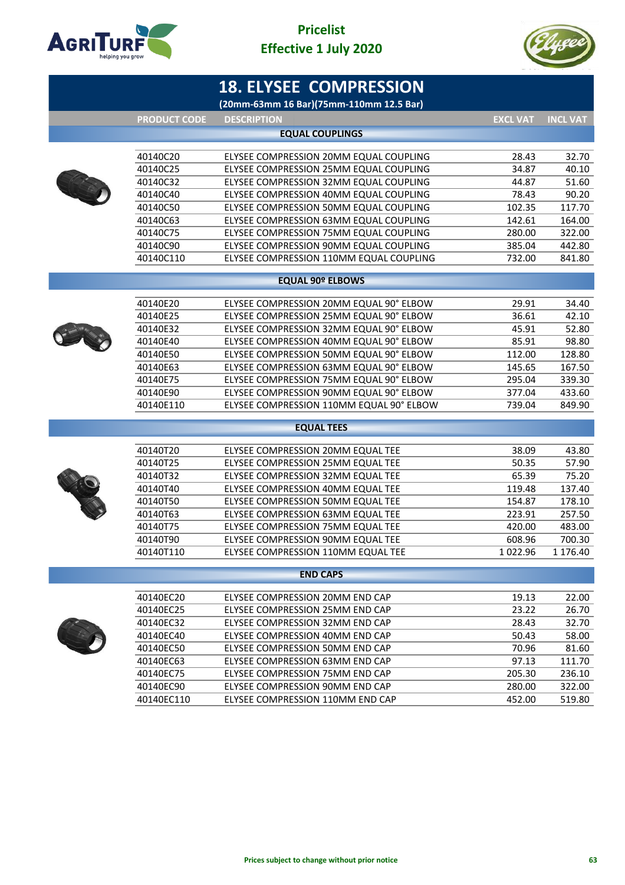



|                     | <b>18. ELYSEE COMPRESSION</b>            |                 |                 |
|---------------------|------------------------------------------|-----------------|-----------------|
|                     | (20mm-63mm 16 Bar)(75mm-110mm 12.5 Bar)  |                 |                 |
| <b>PRODUCT CODE</b> | <b>DESCRIPTION</b>                       | <b>EXCL VAT</b> | <b>INCL VAT</b> |
|                     | <b>EQUAL COUPLINGS</b>                   |                 |                 |
| 40140C20            | ELYSEE COMPRESSION 20MM EQUAL COUPLING   | 28.43           | 32.70           |
| 40140C25            | ELYSEE COMPRESSION 25MM EQUAL COUPLING   | 34.87           | 40.10           |
| 40140C32            | ELYSEE COMPRESSION 32MM EQUAL COUPLING   | 44.87           | 51.60           |
| 40140C40            | ELYSEE COMPRESSION 40MM EQUAL COUPLING   | 78.43           | 90.20           |
| 40140C50            | ELYSEE COMPRESSION 50MM EQUAL COUPLING   | 102.35          | 117.70          |
| 40140C63            | ELYSEE COMPRESSION 63MM EQUAL COUPLING   | 142.61          | 164.00          |
| 40140C75            | ELYSEE COMPRESSION 75MM EQUAL COUPLING   | 280.00          | 322.00          |
| 40140C90            | ELYSEE COMPRESSION 90MM EQUAL COUPLING   | 385.04          | 442.80          |
| 40140C110           | ELYSEE COMPRESSION 110MM EQUAL COUPLING  | 732.00          | 841.80          |
|                     | <b>EQUAL 90º ELBOWS</b>                  |                 |                 |
| 40140E20            | ELYSEE COMPRESSION 20MM EQUAL 90° ELBOW  | 29.91           | 34.40           |
| 40140E25            | ELYSEE COMPRESSION 25MM EQUAL 90° ELBOW  | 36.61           | 42.10           |
| 40140E32            | ELYSEE COMPRESSION 32MM EQUAL 90° ELBOW  | 45.91           | 52.80           |
| 40140E40            | ELYSEE COMPRESSION 40MM EQUAL 90° ELBOW  | 85.91           | 98.80           |
| 40140E50            | ELYSEE COMPRESSION 50MM EQUAL 90° ELBOW  | 112.00          | 128.80          |
| 40140E63            | ELYSEE COMPRESSION 63MM EQUAL 90° ELBOW  | 145.65          | 167.50          |
| 40140E75            | ELYSEE COMPRESSION 75MM EQUAL 90° ELBOW  | 295.04          | 339.30          |
| 40140E90            | ELYSEE COMPRESSION 90MM EQUAL 90° ELBOW  | 377.04          | 433.60          |
| 40140E110           | ELYSEE COMPRESSION 110MM EQUAL 90° ELBOW | 739.04          | 849.90          |
|                     | <b>EQUAL TEES</b>                        |                 |                 |
|                     |                                          |                 |                 |
| 40140T20            | ELYSEE COMPRESSION 20MM EQUAL TEE        | 38.09           | 43.80           |
| 40140T25            | ELYSEE COMPRESSION 25MM EQUAL TEE        | 50.35           | 57.90           |
| 40140T32            | ELYSEE COMPRESSION 32MM EQUAL TEE        | 65.39           | 75.20           |
| 40140T40            | ELYSEE COMPRESSION 40MM EQUAL TEE        | 119.48          | 137.40          |
| 40140T50            | ELYSEE COMPRESSION 50MM EQUAL TEE        | 154.87          | 178.10          |
| 40140T63            | ELYSEE COMPRESSION 63MM EQUAL TEE        | 223.91          | 257.50          |
| 40140T75            | ELYSEE COMPRESSION 75MM EQUAL TEE        | 420.00          | 483.00          |
| 40140T90            | ELYSEE COMPRESSION 90MM EQUAL TEE        | 608.96          | 700.30          |
| 40140T110           | ELYSEE COMPRESSION 110MM EQUAL TEE       | 1022.96         | 1 176.40        |
|                     | <b>END CAPS</b>                          |                 |                 |
| 40140EC20           | ELYSEE COMPRESSION 20MM END CAP          | 19.13           | 22.00           |
| 40140EC25           | ELYSEE COMPRESSION 25MM END CAP          | 23.22           | 26.70           |
| 40140EC32           | ELYSEE COMPRESSION 32MM END CAP          | 28.43           | 32.70           |
| 40140EC40           | ELYSEE COMPRESSION 40MM END CAP          | 50.43           | 58.00           |
| 40140EC50           | ELYSEE COMPRESSION 50MM END CAP          | 70.96           | 81.60           |
| 40140EC63           | ELYSEE COMPRESSION 63MM END CAP          | 97.13           | 111.70          |
| 40140EC75           | ELYSEE COMPRESSION 75MM END CAP          | 205.30          | 236.10          |
| 40140EC90           | ELYSEE COMPRESSION 90MM END CAP          | 280.00          | 322.00          |
| 40140EC110          | ELYSEE COMPRESSION 110MM END CAP         | 452.00          | 519.80          |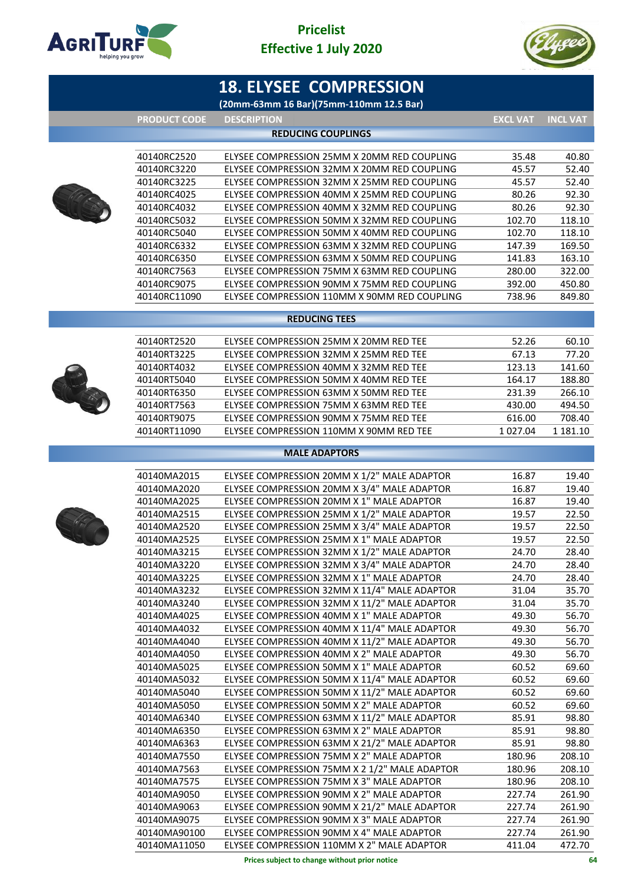



# **18. ELYSEE COMPRESSION**

**(20mm-63mm 16 Bar)(75mm-110mm 12.5 Bar)**

**PRODUCT CODE DESCRIPTION EXCL VAT INCL VAT**



|              | <b>REDUCING COUPLINGS</b>                    |        |        |
|--------------|----------------------------------------------|--------|--------|
|              |                                              |        |        |
| 40140RC2520  | ELYSEE COMPRESSION 25MM X 20MM RED COUPLING  | 35.48  | 40.80  |
| 40140RC3220  | ELYSEE COMPRESSION 32MM X 20MM RED COUPLING  | 45.57  | 52.40  |
| 40140RC3225  | ELYSEE COMPRESSION 32MM X 25MM RED COUPLING  | 45.57  | 52.40  |
| 40140RC4025  | ELYSEE COMPRESSION 40MM X 25MM RED COUPLING  | 80.26  | 92.30  |
| 40140RC4032  | ELYSEE COMPRESSION 40MM X 32MM RED COUPLING  | 80.26  | 92.30  |
| 40140RC5032  | ELYSEE COMPRESSION 50MM X 32MM RED COUPLING  | 102.70 | 118.10 |
| 40140RC5040  | ELYSEE COMPRESSION 50MM X 40MM RED COUPLING  | 102.70 | 118.10 |
| 40140RC6332  | ELYSEE COMPRESSION 63MM X 32MM RED COUPLING  | 147.39 | 169.50 |
| 40140RC6350  | ELYSEE COMPRESSION 63MM X 50MM RED COUPLING  | 141.83 | 163.10 |
| 40140RC7563  | ELYSEE COMPRESSION 75MM X 63MM RED COUPLING  | 280.00 | 322.00 |
| 40140RC9075  | ELYSEE COMPRESSION 90MM X 75MM RED COUPLING  | 392.00 | 450.80 |
| 40140RC11090 | ELYSEE COMPRESSION 110MM X 90MM RED COUPLING | 738.96 | 849.80 |
|              |                                              |        |        |

### **REDUCING TEES**

| 40140RT2520  | ELYSEE COMPRESSION 25MM X 20MM RED TEE  | 52.26        | 60.10    |
|--------------|-----------------------------------------|--------------|----------|
| 40140RT3225  | ELYSEE COMPRESSION 32MM X 25MM RED TEE  | 67.13        | 77.20    |
| 40140RT4032  | ELYSEE COMPRESSION 40MM X 32MM RED TEE  | 123.13       | 141.60   |
| 40140RT5040  | ELYSEE COMPRESSION 50MM X 40MM RED TEE  | 164.17       | 188.80   |
| 40140RT6350  | ELYSEE COMPRESSION 63MM X 50MM RED TEE  | 231.39       | 266.10   |
| 40140RT7563  | ELYSEE COMPRESSION 75MM X 63MM RED TEE  | 430.00       | 494.50   |
| 40140RT9075  | ELYSEE COMPRESSION 90MM X 75MM RED TEE  | 616.00       | 708.40   |
| 40140RT11090 | ELYSEE COMPRESSION 110MM X 90MM RED TEE | 1 0 2 7 .0 4 | 1 181.10 |
|              |                                         |              |          |

### **MALE ADAPTORS**



| 40140MA2015  | ELYSEE COMPRESSION 20MM X 1/2" MALE ADAPTOR   | 16.87  | 19.40  |
|--------------|-----------------------------------------------|--------|--------|
| 40140MA2020  | ELYSEE COMPRESSION 20MM X 3/4" MALE ADAPTOR   | 16.87  | 19.40  |
| 40140MA2025  | ELYSEE COMPRESSION 20MM X 1" MALE ADAPTOR     | 16.87  | 19.40  |
| 40140MA2515  | ELYSEE COMPRESSION 25MM X 1/2" MALE ADAPTOR   | 19.57  | 22.50  |
| 40140MA2520  | ELYSEE COMPRESSION 25MM X 3/4" MALE ADAPTOR   | 19.57  | 22.50  |
| 40140MA2525  | ELYSEE COMPRESSION 25MM X 1" MALE ADAPTOR     | 19.57  | 22.50  |
| 40140MA3215  | ELYSEE COMPRESSION 32MM X 1/2" MALE ADAPTOR   | 24.70  | 28.40  |
| 40140MA3220  | ELYSEE COMPRESSION 32MM X 3/4" MALE ADAPTOR   | 24.70  | 28.40  |
| 40140MA3225  | ELYSEE COMPRESSION 32MM X 1" MALE ADAPTOR     | 24.70  | 28.40  |
| 40140MA3232  | ELYSEE COMPRESSION 32MM X 11/4" MALE ADAPTOR  | 31.04  | 35.70  |
| 40140MA3240  | ELYSEE COMPRESSION 32MM X 11/2" MALE ADAPTOR  | 31.04  | 35.70  |
| 40140MA4025  | ELYSEE COMPRESSION 40MM X 1" MALE ADAPTOR     | 49.30  | 56.70  |
| 40140MA4032  | ELYSEE COMPRESSION 40MM X 11/4" MALE ADAPTOR  | 49.30  | 56.70  |
| 40140MA4040  | ELYSEE COMPRESSION 40MM X 11/2" MALE ADAPTOR  | 49.30  | 56.70  |
| 40140MA4050  | ELYSEE COMPRESSION 40MM X 2" MALE ADAPTOR     | 49.30  | 56.70  |
| 40140MA5025  | ELYSEE COMPRESSION 50MM X 1" MALE ADAPTOR     | 60.52  | 69.60  |
| 40140MA5032  | ELYSEE COMPRESSION 50MM X 11/4" MALE ADAPTOR  | 60.52  | 69.60  |
| 40140MA5040  | ELYSEE COMPRESSION 50MM X 11/2" MALE ADAPTOR  | 60.52  | 69.60  |
| 40140MA5050  | ELYSEE COMPRESSION 50MM X 2" MALE ADAPTOR     | 60.52  | 69.60  |
| 40140MA6340  | ELYSEE COMPRESSION 63MM X 11/2" MALE ADAPTOR  | 85.91  | 98.80  |
| 40140MA6350  | ELYSEE COMPRESSION 63MM X 2" MALE ADAPTOR     | 85.91  | 98.80  |
| 40140MA6363  | ELYSEE COMPRESSION 63MM X 21/2" MALE ADAPTOR  | 85.91  | 98.80  |
| 40140MA7550  | ELYSEE COMPRESSION 75MM X 2" MALE ADAPTOR     | 180.96 | 208.10 |
| 40140MA7563  | ELYSEE COMPRESSION 75MM X 2 1/2" MALE ADAPTOR | 180.96 | 208.10 |
| 40140MA7575  | ELYSEE COMPRESSION 75MM X 3" MALE ADAPTOR     | 180.96 | 208.10 |
| 40140MA9050  | ELYSEE COMPRESSION 90MM X 2" MALE ADAPTOR     | 227.74 | 261.90 |
| 40140MA9063  | ELYSEE COMPRESSION 90MM X 21/2" MALE ADAPTOR  | 227.74 | 261.90 |
| 40140MA9075  | ELYSEE COMPRESSION 90MM X 3" MALE ADAPTOR     | 227.74 | 261.90 |
| 40140MA90100 | ELYSEE COMPRESSION 90MM X 4" MALE ADAPTOR     | 227.74 | 261.90 |
| 40140MA11050 | ELYSEE COMPRESSION 110MM X 2" MALE ADAPTOR    | 411.04 | 472.70 |
|              | Prices subject to change without prior notice |        | 64     |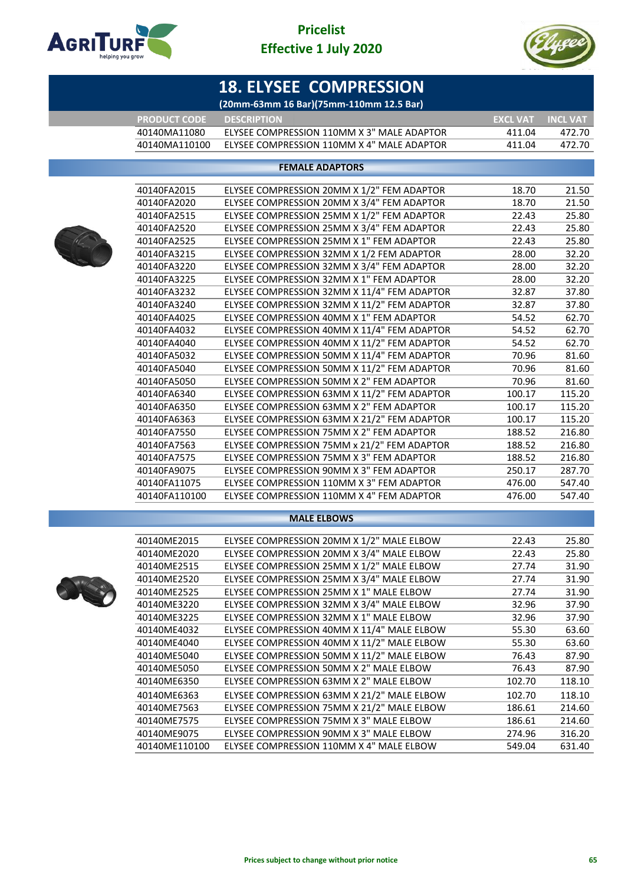



# **18. ELYSEE COMPRESSION**

|  | (20mm-63mm 16 Bar)(75mm-110mm 12.5 Bar) <sup> </sup> |
|--|------------------------------------------------------|
|--|------------------------------------------------------|

| <b>LPRODUCT CODE '</b> | <b>DESCRIPTION</b>                         | <b>EXCL VAT INCL VAT</b> |        |
|------------------------|--------------------------------------------|--------------------------|--------|
| 40140MA11080           | ELYSEE COMPRESSION 110MM X 3" MALE ADAPTOR | 411 04                   | 472.70 |
| 40140MA110100          | ELYSEE COMPRESSION 110MM X 4" MALE ADAPTOR | 411 04                   | 472 70 |

### **FEMALE ADAPTORS**



| 40140FA2015   | ELYSEE COMPRESSION 20MM X 1/2" FEM ADAPTOR  | 18.70  | 21.50  |
|---------------|---------------------------------------------|--------|--------|
| 40140FA2020   | ELYSEE COMPRESSION 20MM X 3/4" FEM ADAPTOR  | 18.70  | 21.50  |
| 40140FA2515   | ELYSEE COMPRESSION 25MM X 1/2" FEM ADAPTOR  | 22.43  | 25.80  |
| 40140FA2520   | ELYSEE COMPRESSION 25MM X 3/4" FEM ADAPTOR  | 22.43  | 25.80  |
| 40140FA2525   | ELYSEE COMPRESSION 25MM X 1" FEM ADAPTOR    | 22.43  | 25.80  |
| 40140FA3215   | ELYSEE COMPRESSION 32MM X 1/2 FEM ADAPTOR   | 28.00  | 32.20  |
| 40140FA3220   | ELYSEE COMPRESSION 32MM X 3/4" FEM ADAPTOR  | 28.00  | 32.20  |
| 40140FA3225   | ELYSEE COMPRESSION 32MM X 1" FEM ADAPTOR    | 28.00  | 32.20  |
| 40140FA3232   | ELYSEE COMPRESSION 32MM X 11/4" FEM ADAPTOR | 32.87  | 37.80  |
| 40140FA3240   | ELYSEE COMPRESSION 32MM X 11/2" FEM ADAPTOR | 32.87  | 37.80  |
| 40140FA4025   | ELYSEE COMPRESSION 40MM X 1" FEM ADAPTOR    | 54.52  | 62.70  |
| 40140FA4032   | ELYSEE COMPRESSION 40MM X 11/4" FEM ADAPTOR | 54.52  | 62.70  |
| 40140FA4040   | ELYSEE COMPRESSION 40MM X 11/2" FEM ADAPTOR | 54.52  | 62.70  |
| 40140FA5032   | ELYSEE COMPRESSION 50MM X 11/4" FEM ADAPTOR | 70.96  | 81.60  |
| 40140FA5040   | ELYSEE COMPRESSION 50MM X 11/2" FEM ADAPTOR | 70.96  | 81.60  |
| 40140FA5050   | ELYSEE COMPRESSION 50MM X 2" FEM ADAPTOR    | 70.96  | 81.60  |
| 40140FA6340   | ELYSEE COMPRESSION 63MM X 11/2" FEM ADAPTOR | 100.17 | 115.20 |
| 40140FA6350   | ELYSEE COMPRESSION 63MM X 2" FEM ADAPTOR    | 100.17 | 115.20 |
| 40140FA6363   | ELYSEE COMPRESSION 63MM X 21/2" FEM ADAPTOR | 100.17 | 115.20 |
| 40140FA7550   | ELYSEE COMPRESSION 75MM X 2" FEM ADAPTOR    | 188.52 | 216.80 |
| 40140FA7563   | ELYSEE COMPRESSION 75MM x 21/2" FEM ADAPTOR | 188.52 | 216.80 |
| 40140FA7575   | ELYSEE COMPRESSION 75MM X 3" FEM ADAPTOR    | 188.52 | 216.80 |
| 40140FA9075   | ELYSEE COMPRESSION 90MM X 3" FEM ADAPTOR    | 250.17 | 287.70 |
| 40140FA11075  | ELYSEE COMPRESSION 110MM X 3" FEM ADAPTOR   | 476.00 | 547.40 |
| 40140FA110100 | ELYSEE COMPRESSION 110MM X 4" FEM ADAPTOR   | 476.00 | 547.40 |
|               |                                             |        |        |

### **MALE ELBOWS**



| 40140ME2015   | ELYSEE COMPRESSION 20MM X 1/2" MALE ELBOW  | 22.43  | 25.80  |
|---------------|--------------------------------------------|--------|--------|
| 40140ME2020   | ELYSEE COMPRESSION 20MM X 3/4" MALE ELBOW  | 22.43  | 25.80  |
| 40140ME2515   | ELYSEE COMPRESSION 25MM X 1/2" MALE ELBOW  | 27.74  | 31.90  |
| 40140ME2520   | ELYSEE COMPRESSION 25MM X 3/4" MALE ELBOW  | 27.74  | 31.90  |
| 40140ME2525   | ELYSEE COMPRESSION 25MM X 1" MALE ELBOW    | 27.74  | 31.90  |
| 40140ME3220   | ELYSEE COMPRESSION 32MM X 3/4" MALE ELBOW  | 32.96  | 37.90  |
| 40140ME3225   | ELYSEE COMPRESSION 32MM X 1" MALE ELBOW    | 32.96  | 37.90  |
| 40140ME4032   | ELYSEE COMPRESSION 40MM X 11/4" MALE ELBOW | 55.30  | 63.60  |
| 40140ME4040   | ELYSEE COMPRESSION 40MM X 11/2" MALE ELBOW | 55.30  | 63.60  |
| 40140ME5040   | ELYSEE COMPRESSION 50MM X 11/2" MALE ELBOW | 76.43  | 87.90  |
| 40140ME5050   | ELYSEE COMPRESSION 50MM X 2" MALE ELBOW    | 76.43  | 87.90  |
| 40140ME6350   | ELYSEE COMPRESSION 63MM X 2" MALE ELBOW    | 102.70 | 118.10 |
| 40140ME6363   | ELYSEE COMPRESSION 63MM X 21/2" MALE ELBOW | 102.70 | 118.10 |
| 40140ME7563   | ELYSEE COMPRESSION 75MM X 21/2" MALE ELBOW | 186.61 | 214.60 |
| 40140ME7575   | ELYSEE COMPRESSION 75MM X 3" MALE ELBOW    | 186.61 | 214.60 |
| 40140ME9075   | ELYSEE COMPRESSION 90MM X 3" MALE ELBOW    | 274.96 | 316.20 |
| 40140ME110100 | ELYSEE COMPRESSION 110MM X 4" MALE ELBOW   | 549.04 | 631.40 |
|               |                                            |        |        |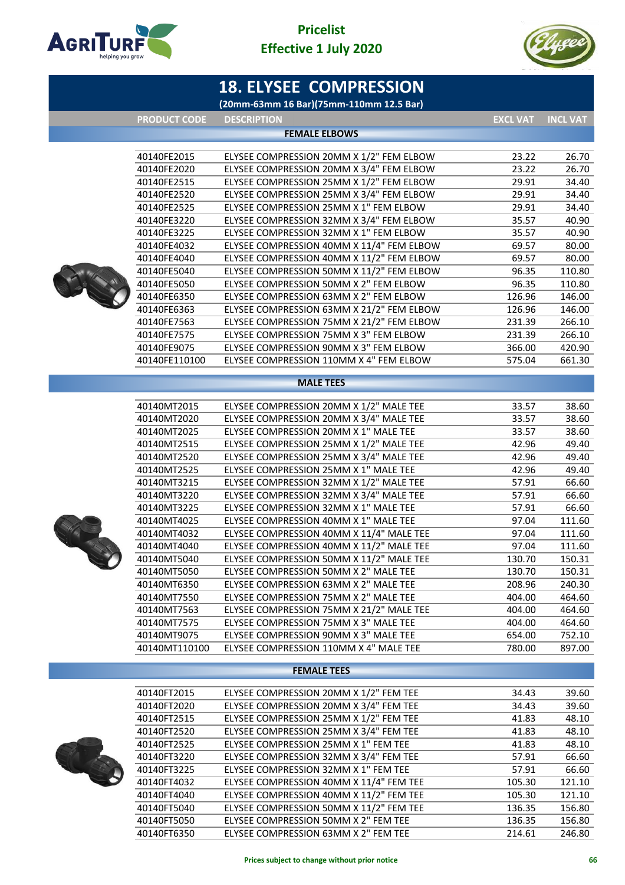

# **Pricelist Effective 1 July 2020**



|                            | <b>18. ELYSEE COMPRESSION</b>                                                     |                  |                  |
|----------------------------|-----------------------------------------------------------------------------------|------------------|------------------|
|                            | (20mm-63mm 16 Bar)(75mm-110mm 12.5 Bar)                                           |                  |                  |
| <b>PRODUCT CODE</b>        | <b>DESCRIPTION</b>                                                                | <b>EXCL VAT</b>  | <b>INCL VAT</b>  |
|                            | <b>FEMALE ELBOWS</b>                                                              |                  |                  |
| 40140FE2015                | ELYSEE COMPRESSION 20MM X 1/2" FEM ELBOW                                          | 23.22            | 26.70            |
| 40140FE2020                | ELYSEE COMPRESSION 20MM X 3/4" FEM ELBOW                                          | 23.22            | 26.70            |
| 40140FE2515                | ELYSEE COMPRESSION 25MM X 1/2" FEM ELBOW                                          | 29.91            | 34.40            |
| 40140FE2520                | ELYSEE COMPRESSION 25MM X 3/4" FEM ELBOW                                          | 29.91            | 34.40            |
| 40140FE2525                | ELYSEE COMPRESSION 25MM X 1" FEM ELBOW                                            | 29.91            | 34.40            |
| 40140FE3220                | ELYSEE COMPRESSION 32MM X 3/4" FEM ELBOW                                          | 35.57            | 40.90            |
| 40140FE3225                | ELYSEE COMPRESSION 32MM X 1" FEM ELBOW                                            | 35.57            | 40.90            |
| 40140FE4032                | ELYSEE COMPRESSION 40MM X 11/4" FEM ELBOW                                         | 69.57            | 80.00            |
| 40140FE4040                | ELYSEE COMPRESSION 40MM X 11/2" FEM ELBOW                                         | 69.57            | 80.00            |
| 40140FE5040                | ELYSEE COMPRESSION 50MM X 11/2" FEM ELBOW                                         | 96.35            | 110.80           |
| 40140FE5050                | ELYSEE COMPRESSION 50MM X 2" FEM ELBOW                                            | 96.35            | 110.80           |
| 40140FE6350                | ELYSEE COMPRESSION 63MM X 2" FEM ELBOW                                            | 126.96           | 146.00           |
| 40140FE6363                | ELYSEE COMPRESSION 63MM X 21/2" FEM ELBOW                                         | 126.96           | 146.00           |
| 40140FE7563                | ELYSEE COMPRESSION 75MM X 21/2" FEM ELBOW                                         | 231.39           | 266.10           |
| 40140FE7575                | ELYSEE COMPRESSION 75MM X 3" FEM ELBOW                                            | 231.39           | 266.10           |
| 40140FE9075                | ELYSEE COMPRESSION 90MM X 3" FEM ELBOW                                            | 366.00           | 420.90           |
| 40140FE110100              | ELYSEE COMPRESSION 110MM X 4" FEM ELBOW                                           | 575.04           | 661.30           |
|                            | <b>MALE TEES</b>                                                                  |                  |                  |
|                            |                                                                                   |                  |                  |
| 40140MT2015                | ELYSEE COMPRESSION 20MM X 1/2" MALE TEE                                           | 33.57            | 38.60            |
| 40140MT2020                | ELYSEE COMPRESSION 20MM X 3/4" MALE TEE                                           | 33.57            | 38.60            |
| 40140MT2025                | ELYSEE COMPRESSION 20MM X 1" MALE TEE                                             | 33.57            | 38.60            |
| 40140MT2515                | ELYSEE COMPRESSION 25MM X 1/2" MALE TEE                                           | 42.96            | 49.40            |
| 40140MT2520                | ELYSEE COMPRESSION 25MM X 3/4" MALE TEE                                           | 42.96            | 49.40            |
| 40140MT2525                | ELYSEE COMPRESSION 25MM X 1" MALE TEE                                             | 42.96            | 49.40            |
| 40140MT3215                | ELYSEE COMPRESSION 32MM X 1/2" MALE TEE                                           | 57.91            | 66.60            |
| 40140MT3220                | ELYSEE COMPRESSION 32MM X 3/4" MALE TEE                                           | 57.91            | 66.60            |
| 40140MT3225                | ELYSEE COMPRESSION 32MM X 1" MALE TEE                                             | 57.91            | 66.60            |
| 40140MT4025                | ELYSEE COMPRESSION 40MM X 1" MALE TEE                                             | 97.04            | 111.60           |
| 40140MT4032                | ELYSEE COMPRESSION 40MM X 11/4" MALE TEE                                          | 97.04            | 111.60           |
| 40140MT4040                | ELYSEE COMPRESSION 40MM X 11/2" MALE TEE                                          | 97.04            | 111.60           |
| 40140MT5040                | ELYSEE COMPRESSION 50MM X 11/2" MALE TEE                                          | 130.70           | 150.31           |
| 40140MT5050                | ELYSEE COMPRESSION 50MM X 2" MALE TEE                                             | 130.70           | 150.31           |
| 40140MT6350                | ELYSEE COMPRESSION 63MM X 2" MALE TEE                                             | 208.96           | 240.30           |
| 40140MT7550                | ELYSEE COMPRESSION 75MM X 2" MALE TEE                                             | 404.00           | 464.60           |
| 40140MT7563<br>40140MT7575 | ELYSEE COMPRESSION 75MM X 21/2" MALE TEE<br>ELYSEE COMPRESSION 75MM X 3" MALE TEE | 404.00<br>404.00 | 464.60<br>464.60 |
| 40140MT9075                | ELYSEE COMPRESSION 90MM X 3" MALE TEE                                             | 654.00           | 752.10           |
| 40140MT110100              | ELYSEE COMPRESSION 110MM X 4" MALE TEE                                            | 780.00           | 897.00           |
|                            |                                                                                   |                  |                  |
|                            | <b>FEMALE TEES</b>                                                                |                  |                  |
| 40140FT2015                | ELYSEE COMPRESSION 20MM X 1/2" FEM TEE                                            | 34.43            | 39.60            |
| 40140FT2020                | ELYSEE COMPRESSION 20MM X 3/4" FEM TEE                                            | 34.43            | 39.60            |
| 40140FT2515                | ELYSEE COMPRESSION 25MM X 1/2" FEM TEE                                            | 41.83            | 48.10            |
| 40140FT2520                | ELYSEE COMPRESSION 25MM X 3/4" FEM TEE                                            | 41.83            | 48.10            |
| 40140FT2525                | ELYSEE COMPRESSION 25MM X 1" FEM TEE                                              | 41.83            | 48.10            |
| 40140FT3220                | ELYSEE COMPRESSION 32MM X 3/4" FEM TEE                                            | 57.91            | 66.60            |
| 40140FT3225                | ELYSEE COMPRESSION 32MM X 1" FEM TEE                                              | 57.91            | 66.60            |
| 40140FT4032                | ELYSEE COMPRESSION 40MM X 11/4" FEM TEE                                           | 105.30           | 121.10           |
| 40140FT4040                | ELYSEE COMPRESSION 40MM X 11/2" FEM TEE                                           | 105.30           | 121.10           |
| 40140FT5040                | ELYSEE COMPRESSION 50MM X 11/2" FEM TEE                                           | 136.35           | 156.80           |
| 40140FT5050                | ELYSEE COMPRESSION 50MM X 2" FEM TEE                                              | 136.35           | 156.80           |
| 40140FT6350                | ELYSEE COMPRESSION 63MM X 2" FEM TEE                                              | 214.61           | 246.80           |
|                            |                                                                                   |                  |                  |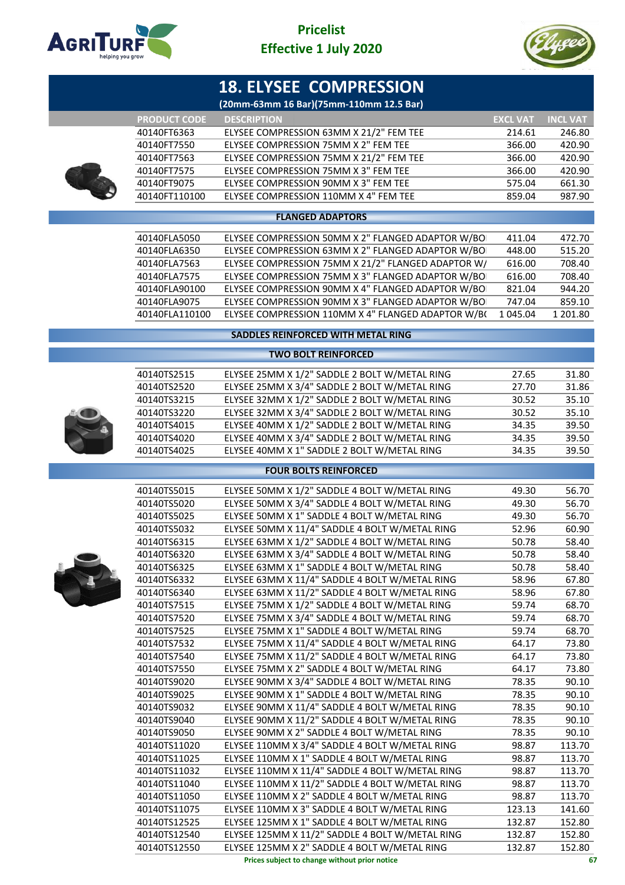



# **18. ELYSEE COMPRESSION**

### **(20mm-63mm 16 Bar)(75mm-110mm 12.5 Bar)**

|                     | (ZUNINI-OSHINI 10 DAI ) (7SHINI-11UNINI 12.5 DAI ) |                 |                 |
|---------------------|----------------------------------------------------|-----------------|-----------------|
| <b>PRODUCT CODE</b> | <b>DESCRIPTION</b>                                 | <b>EXCL VAT</b> | <b>INCL VAT</b> |
| 40140FT6363         | ELYSEE COMPRESSION 63MM X 21/2" FEM TEE            | 214.61          | 246.80          |
| 40140FT7550         | ELYSEE COMPRESSION 75MM X 2" FEM TEE               | 366.00          | 420.90          |
| 40140FT7563         | ELYSEE COMPRESSION 75MM X 21/2" FEM TEE            | 366.00          | 420.90          |
| 40140FT7575         | ELYSEE COMPRESSION 75MM X 3" FEM TEE               | 366.00          | 420.90          |
| 40140FT9075         | ELYSEE COMPRESSION 90MM X 3" FEM TEE               | 575.04          | 661.30          |
| 40140FT110100       | ELYSEE COMPRESSION 110MM X 4" FEM TEE              | 859.04          | 987.90          |
|                     |                                                    |                 |                 |

### **FLANGED ADAPTORS**

| 40140FLA5050   | ELYSEE COMPRESSION 50MM X 2" FLANGED ADAPTOR W/BO  | 411.04   | 472.70   |
|----------------|----------------------------------------------------|----------|----------|
| 40140FLA6350   | ELYSEE COMPRESSION 63MM X 2" FLANGED ADAPTOR W/BO  | 448.00   | 515.20   |
| 40140FLA7563   | ELYSEE COMPRESSION 75MM X 21/2" FLANGED ADAPTOR W/ | 616.00   | 708.40   |
| 40140FLA7575   | ELYSEE COMPRESSION 75MM X 3" FLANGED ADAPTOR W/BO  | 616.00   | 708.40   |
| 40140FLA90100  | ELYSEE COMPRESSION 90MM X 4" FLANGED ADAPTOR W/BO  | 821.04   | 944.20   |
| 40140FLA9075   | ELYSEE COMPRESSION 90MM X 3" FLANGED ADAPTOR W/BO  | 747.04   | 859.10   |
| 40140FLA110100 | ELYSEE COMPRESSION 110MM X 4" FLANGED ADAPTOR W/BO | 1 045.04 | 1 201.80 |
|                |                                                    |          |          |

### **SADDLES REINFORCED WITH METAL RING**

#### **TWO BOLT REINFORCED**

| 40140TS2515 | ELYSEE 25MM X 1/2" SADDLE 2 BOLT W/METAL RING | 27.65 | 31.80 |
|-------------|-----------------------------------------------|-------|-------|
| 40140TS2520 | ELYSEE 25MM X 3/4" SADDLE 2 BOLT W/METAL RING | 27.70 | 31.86 |
| 40140TS3215 | ELYSEE 32MM X 1/2" SADDLE 2 BOLT W/METAL RING | 30.52 | 35.10 |
| 40140TS3220 | ELYSEE 32MM X 3/4" SADDLE 2 BOLT W/METAL RING | 30.52 | 35.10 |
| 40140TS4015 | ELYSEE 40MM X 1/2" SADDLE 2 BOLT W/METAL RING | 34.35 | 39.50 |
| 40140TS4020 | ELYSEE 40MM X 3/4" SADDLE 2 BOLT W/METAL RING | 34.35 | 39.50 |
| 40140TS4025 | ELYSEE 40MM X 1" SADDLE 2 BOLT W/METAL RING   | 34.35 | 39.50 |
|             |                                               |       |       |

### **FOUR BOLTS REINFORCED**



| 40140TS5015  | ELYSEE 50MM X 1/2" SADDLE 4 BOLT W/METAL RING   | 49.30  | 56.70  |
|--------------|-------------------------------------------------|--------|--------|
| 40140TS5020  | ELYSEE 50MM X 3/4" SADDLE 4 BOLT W/METAL RING   | 49.30  | 56.70  |
| 40140TS5025  | ELYSEE 50MM X 1" SADDLE 4 BOLT W/METAL RING     | 49.30  | 56.70  |
| 40140TS5032  | ELYSEE 50MM X 11/4" SADDLE 4 BOLT W/METAL RING  | 52.96  | 60.90  |
| 40140TS6315  | ELYSEE 63MM X 1/2" SADDLE 4 BOLT W/METAL RING   | 50.78  | 58.40  |
| 40140TS6320  | ELYSEE 63MM X 3/4" SADDLE 4 BOLT W/METAL RING   | 50.78  | 58.40  |
| 40140TS6325  | ELYSEE 63MM X 1" SADDLE 4 BOLT W/METAL RING     | 50.78  | 58.40  |
| 40140TS6332  | ELYSEE 63MM X 11/4" SADDLE 4 BOLT W/METAL RING  | 58.96  | 67.80  |
| 40140TS6340  | ELYSEE 63MM X 11/2" SADDLE 4 BOLT W/METAL RING  | 58.96  | 67.80  |
| 40140TS7515  | ELYSEE 75MM X 1/2" SADDLE 4 BOLT W/METAL RING   | 59.74  | 68.70  |
| 40140TS7520  | ELYSEE 75MM X 3/4" SADDLE 4 BOLT W/METAL RING   | 59.74  | 68.70  |
| 40140TS7525  | ELYSEE 75MM X 1" SADDLE 4 BOLT W/METAL RING     | 59.74  | 68.70  |
| 40140TS7532  | ELYSEE 75MM X 11/4" SADDLE 4 BOLT W/METAL RING  | 64.17  | 73.80  |
| 40140TS7540  | ELYSEE 75MM X 11/2" SADDLE 4 BOLT W/METAL RING  | 64.17  | 73.80  |
| 40140TS7550  | ELYSEE 75MM X 2" SADDLE 4 BOLT W/METAL RING     | 64.17  | 73.80  |
| 40140TS9020  | ELYSEE 90MM X 3/4" SADDLE 4 BOLT W/METAL RING   | 78.35  | 90.10  |
| 40140TS9025  | ELYSEE 90MM X 1" SADDLE 4 BOLT W/METAL RING     | 78.35  | 90.10  |
| 40140TS9032  | ELYSEE 90MM X 11/4" SADDLE 4 BOLT W/METAL RING  | 78.35  | 90.10  |
| 40140TS9040  | ELYSEE 90MM X 11/2" SADDLE 4 BOLT W/METAL RING  | 78.35  | 90.10  |
| 40140TS9050  | ELYSEE 90MM X 2" SADDLE 4 BOLT W/METAL RING     | 78.35  | 90.10  |
| 40140TS11020 | ELYSEE 110MM X 3/4" SADDLE 4 BOLT W/METAL RING  | 98.87  | 113.70 |
| 40140TS11025 | ELYSEE 110MM X 1" SADDLE 4 BOLT W/METAL RING    | 98.87  | 113.70 |
| 40140TS11032 | ELYSEE 110MM X 11/4" SADDLE 4 BOLT W/METAL RING | 98.87  | 113.70 |
| 40140TS11040 | ELYSEE 110MM X 11/2" SADDLE 4 BOLT W/METAL RING | 98.87  | 113.70 |
| 40140TS11050 | ELYSEE 110MM X 2" SADDLE 4 BOLT W/METAL RING    | 98.87  | 113.70 |
| 40140TS11075 | ELYSEE 110MM X 3" SADDLE 4 BOLT W/METAL RING    | 123.13 | 141.60 |
| 40140TS12525 | ELYSEE 125MM X 1" SADDLE 4 BOLT W/METAL RING    | 132.87 | 152.80 |
| 40140TS12540 | ELYSEE 125MM X 11/2" SADDLE 4 BOLT W/METAL RING | 132.87 | 152.80 |
| 40140TS12550 | ELYSEE 125MM X 2" SADDLE 4 BOLT W/METAL RING    | 132.87 | 152.80 |
|              | Prices subject to change without prior notice   |        | 67     |
|              |                                                 |        |        |